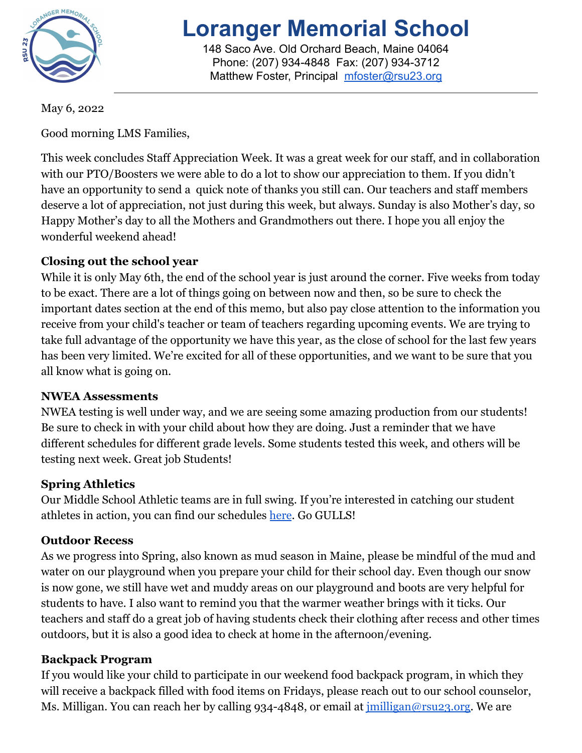

# **Loranger Memorial School**

148 Saco Ave. Old Orchard Beach, Maine 04064 Phone: (207) 934-4848 Fax: (207) 934-3712 Matthew Foster, Principal [mfoster@rsu23.org](mailto:mfoster@rsu23.org)

May 6, 2022

Good morning LMS Families,

This week concludes Staff Appreciation Week. It was a great week for our staff, and in collaboration with our PTO/Boosters we were able to do a lot to show our appreciation to them. If you didn't have an opportunity to send a quick note of thanks you still can. Our teachers and staff members deserve a lot of appreciation, not just during this week, but always. Sunday is also Mother's day, so Happy Mother's day to all the Mothers and Grandmothers out there. I hope you all enjoy the wonderful weekend ahead!

#### **Closing out the school year**

While it is only May 6th, the end of the school year is just around the corner. Five weeks from today to be exact. There are a lot of things going on between now and then, so be sure to check the important dates section at the end of this memo, but also pay close attention to the information you receive from your child's teacher or team of teachers regarding upcoming events. We are trying to take full advantage of the opportunity we have this year, as the close of school for the last few years has been very limited. We're excited for all of these opportunities, and we want to be sure that you all know what is going on.

#### **NWEA Assessments**

NWEA testing is well under way, and we are seeing some amazing production from our students! Be sure to check in with your child about how they are doing. Just a reminder that we have different schedules for different grade levels. Some students tested this week, and others will be testing next week. Great job Students!

#### **Spring Athletics**

Our Middle School Athletic teams are in full swing. If you're interested in catching our student athletes in action, you can find our schedules [here](https://loranger.rsu23.org/athletics/schedules/). Go GULLS!

#### **Outdoor Recess**

As we progress into Spring, also known as mud season in Maine, please be mindful of the mud and water on our playground when you prepare your child for their school day. Even though our snow is now gone, we still have wet and muddy areas on our playground and boots are very helpful for students to have. I also want to remind you that the warmer weather brings with it ticks. Our teachers and staff do a great job of having students check their clothing after recess and other times outdoors, but it is also a good idea to check at home in the afternoon/evening.

#### **Backpack Program**

If you would like your child to participate in our weekend food backpack program, in which they will receive a backpack filled with food items on Fridays, please reach out to our school counselor, Ms. Milligan. You can reach her by calling 934-4848, or email at *imilligan@rsu23.org*. We are